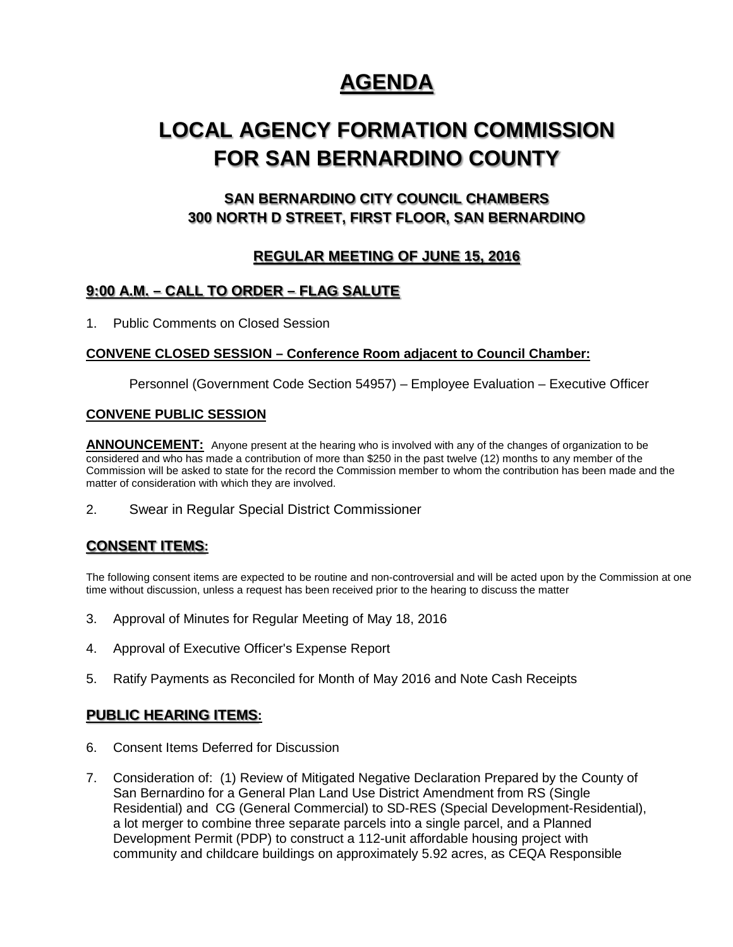## **AGENDA**

# **LOCAL AGENCY FORMATION COMMISSION FOR SAN BERNARDINO COUNTY**

## **SAN BERNARDINO CITY COUNCIL CHAMBERS 300 NORTH D STREET, FIRST FLOOR, SAN BERNARDINO**

## **REGULAR MEETING OF JUNE 15, 2016**

## **9:00 A.M. – CALL TO ORDER – FLAG SALUTE**

1. Public Comments on Closed Session

#### **CONVENE CLOSED SESSION – Conference Room adjacent to Council Chamber:**

Personnel (Government Code Section 54957) – Employee Evaluation – Executive Officer

#### **CONVENE PUBLIC SESSION**

**ANNOUNCEMENT:** Anyone present at the hearing who is involved with any of the changes of organization to be considered and who has made a contribution of more than \$250 in the past twelve (12) months to any member of the Commission will be asked to state for the record the Commission member to whom the contribution has been made and the matter of consideration with which they are involved.

2. Swear in Regular Special District Commissioner

## **CONSENT ITEMS:**

The following consent items are expected to be routine and non-controversial and will be acted upon by the Commission at one time without discussion, unless a request has been received prior to the hearing to discuss the matter

- 3. Approval of Minutes for Regular Meeting of May 18, 2016
- 4. Approval of Executive Officer's Expense Report
- 5. Ratify Payments as Reconciled for Month of May 2016 and Note Cash Receipts

## **PUBLIC HEARING ITEMS:**

- 6. Consent Items Deferred for Discussion
- 7. Consideration of: (1) Review of Mitigated Negative Declaration Prepared by the County of San Bernardino for a General Plan Land Use District Amendment from RS (Single Residential) and CG (General Commercial) to SD-RES (Special Development-Residential), a lot merger to combine three separate parcels into a single parcel, and a Planned Development Permit (PDP) to construct a 112-unit affordable housing project with community and childcare buildings on approximately 5.92 acres, as CEQA Responsible